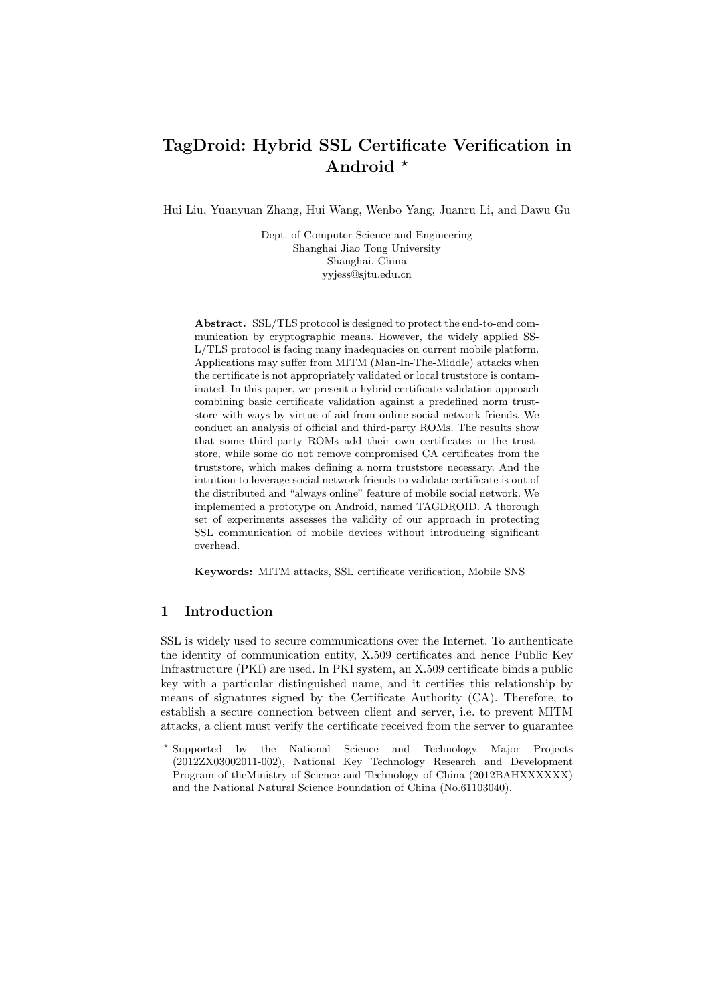# TagDroid: Hybrid SSL Certificate Verification in Android \*

Hui Liu, Yuanyuan Zhang, Hui Wang, Wenbo Yang, Juanru Li, and Dawu Gu

Dept. of Computer Science and Engineering Shanghai Jiao Tong University Shanghai, China yyjess@sjtu.edu.cn

Abstract. SSL/TLS protocol is designed to protect the end-to-end communication by cryptographic means. However, the widely applied SS-L/TLS protocol is facing many inadequacies on current mobile platform. Applications may suffer from MITM (Man-In-The-Middle) attacks when the certificate is not appropriately validated or local truststore is contaminated. In this paper, we present a hybrid certificate validation approach combining basic certificate validation against a predefined norm truststore with ways by virtue of aid from online social network friends. We conduct an analysis of official and third-party ROMs. The results show that some third-party ROMs add their own certificates in the truststore, while some do not remove compromised CA certificates from the truststore, which makes defining a norm truststore necessary. And the intuition to leverage social network friends to validate certificate is out of the distributed and "always online" feature of mobile social network. We implemented a prototype on Android, named TAGDROID. A thorough set of experiments assesses the validity of our approach in protecting SSL communication of mobile devices without introducing significant overhead.

Keywords: MITM attacks, SSL certificate verification, Mobile SNS

# 1 Introduction

SSL is widely used to secure communications over the Internet. To authenticate the identity of communication entity, X.509 certificates and hence Public Key Infrastructure (PKI) are used. In PKI system, an X.509 certificate binds a public key with a particular distinguished name, and it certifies this relationship by means of signatures signed by the Certificate Authority (CA). Therefore, to establish a secure connection between client and server, i.e. to prevent MITM attacks, a client must verify the certificate received from the server to guarantee

<sup>?</sup> Supported by the National Science and Technology Major Projects (2012ZX03002011-002), National Key Technology Research and Development Program of theMinistry of Science and Technology of China (2012BAHXXXXXX) and the National Natural Science Foundation of China (No.61103040).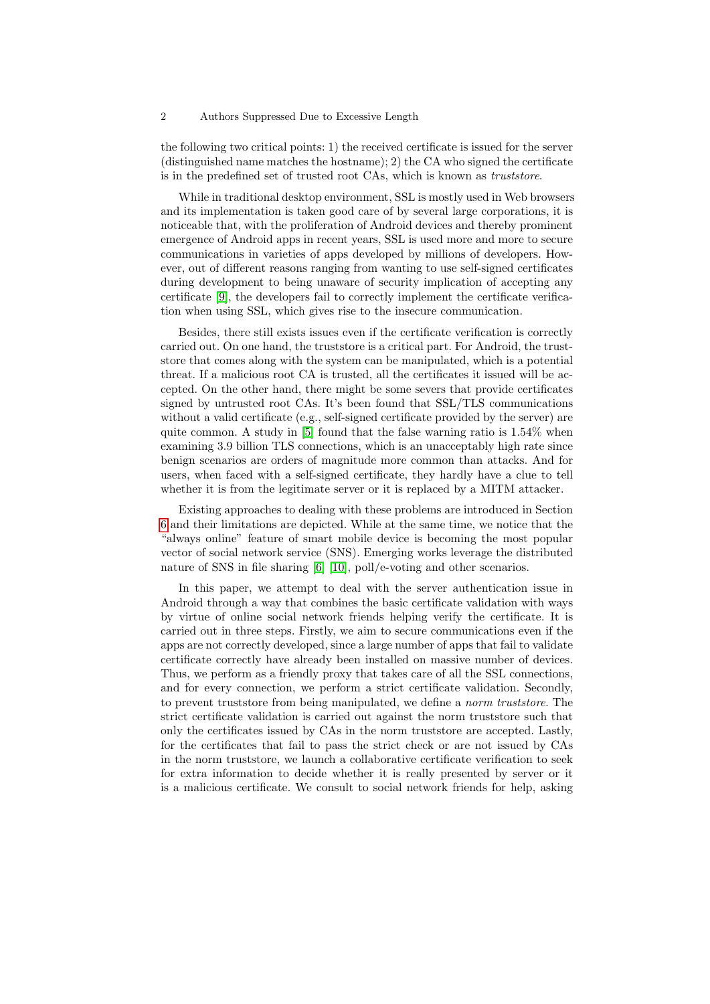the following two critical points: 1) the received certificate is issued for the server (distinguished name matches the hostname); 2) the CA who signed the certificate is in the predefined set of trusted root CAs, which is known as truststore.

While in traditional desktop environment, SSL is mostly used in Web browsers and its implementation is taken good care of by several large corporations, it is noticeable that, with the proliferation of Android devices and thereby prominent emergence of Android apps in recent years, SSL is used more and more to secure communications in varieties of apps developed by millions of developers. However, out of different reasons ranging from wanting to use self-signed certificates during development to being unaware of security implication of accepting any certificate [\[9\]](#page-11-0), the developers fail to correctly implement the certificate verification when using SSL, which gives rise to the insecure communication.

Besides, there still exists issues even if the certificate verification is correctly carried out. On one hand, the truststore is a critical part. For Android, the truststore that comes along with the system can be manipulated, which is a potential threat. If a malicious root CA is trusted, all the certificates it issued will be accepted. On the other hand, there might be some severs that provide certificates signed by untrusted root CAs. It's been found that SSL/TLS communications without a valid certificate (e.g., self-signed certificate provided by the server) are quite common. A study in  $[5]$  found that the false warning ratio is 1.54% when examining 3.9 billion TLS connections, which is an unacceptably high rate since benign scenarios are orders of magnitude more common than attacks. And for users, when faced with a self-signed certificate, they hardly have a clue to tell whether it is from the legitimate server or it is replaced by a MITM attacker.

Existing approaches to dealing with these problems are introduced in Section [6](#page-10-0) and their limitations are depicted. While at the same time, we notice that the "always online" feature of smart mobile device is becoming the most popular vector of social network service (SNS). Emerging works leverage the distributed nature of SNS in file sharing [\[6\]](#page-11-2) [\[10\]](#page-11-3), poll/e-voting and other scenarios.

In this paper, we attempt to deal with the server authentication issue in Android through a way that combines the basic certificate validation with ways by virtue of online social network friends helping verify the certificate. It is carried out in three steps. Firstly, we aim to secure communications even if the apps are not correctly developed, since a large number of apps that fail to validate certificate correctly have already been installed on massive number of devices. Thus, we perform as a friendly proxy that takes care of all the SSL connections, and for every connection, we perform a strict certificate validation. Secondly, to prevent truststore from being manipulated, we define a norm truststore. The strict certificate validation is carried out against the norm truststore such that only the certificates issued by CAs in the norm truststore are accepted. Lastly, for the certificates that fail to pass the strict check or are not issued by CAs in the norm truststore, we launch a collaborative certificate verification to seek for extra information to decide whether it is really presented by server or it is a malicious certificate. We consult to social network friends for help, asking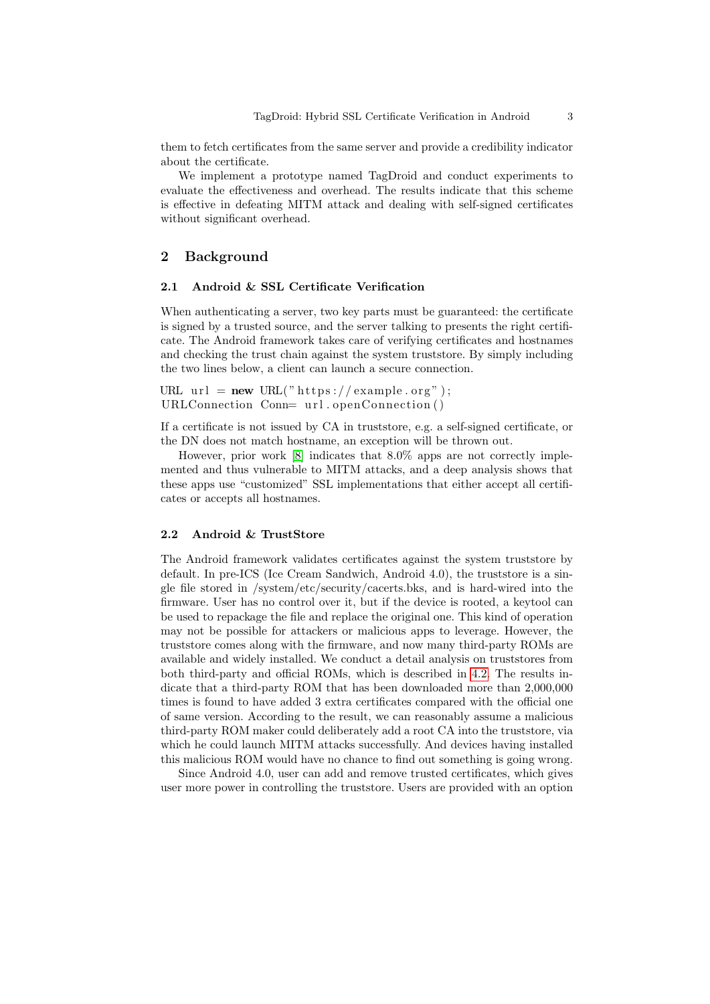them to fetch certificates from the same server and provide a credibility indicator about the certificate.

We implement a prototype named TagDroid and conduct experiments to evaluate the effectiveness and overhead. The results indicate that this scheme is effective in defeating MITM attack and dealing with self-signed certificates without significant overhead.

# 2 Background

### <span id="page-2-0"></span>2.1 Android & SSL Certificate Verification

When authenticating a server, two key parts must be guaranteed: the certificate is signed by a trusted source, and the server talking to presents the right certificate. The Android framework takes care of verifying certificates and hostnames and checking the trust chain against the system truststore. By simply including the two lines below, a client can launch a secure connection.

URL url = **new** URL(" $https://example.org"$ ); URLConnection Conn= url.openConnection ()

If a certificate is not issued by CA in truststore, e.g. a self-signed certificate, or the DN does not match hostname, an exception will be thrown out.

However, prior work [\[8\]](#page-11-4) indicates that 8.0% apps are not correctly implemented and thus vulnerable to MITM attacks, and a deep analysis shows that these apps use "customized" SSL implementations that either accept all certificates or accepts all hostnames.

#### <span id="page-2-1"></span>2.2 Android & TrustStore

The Android framework validates certificates against the system truststore by default. In pre-ICS (Ice Cream Sandwich, Android 4.0), the truststore is a single file stored in /system/etc/security/cacerts.bks, and is hard-wired into the firmware. User has no control over it, but if the device is rooted, a keytool can be used to repackage the file and replace the original one. This kind of operation may not be possible for attackers or malicious apps to leverage. However, the truststore comes along with the firmware, and now many third-party ROMs are available and widely installed. We conduct a detail analysis on truststores from both third-party and official ROMs, which is described in [4.2.](#page-6-0) The results indicate that a third-party ROM that has been downloaded more than 2,000,000 times is found to have added 3 extra certificates compared with the official one of same version. According to the result, we can reasonably assume a malicious third-party ROM maker could deliberately add a root CA into the truststore, via which he could launch MITM attacks successfully. And devices having installed this malicious ROM would have no chance to find out something is going wrong.

Since Android 4.0, user can add and remove trusted certificates, which gives user more power in controlling the truststore. Users are provided with an option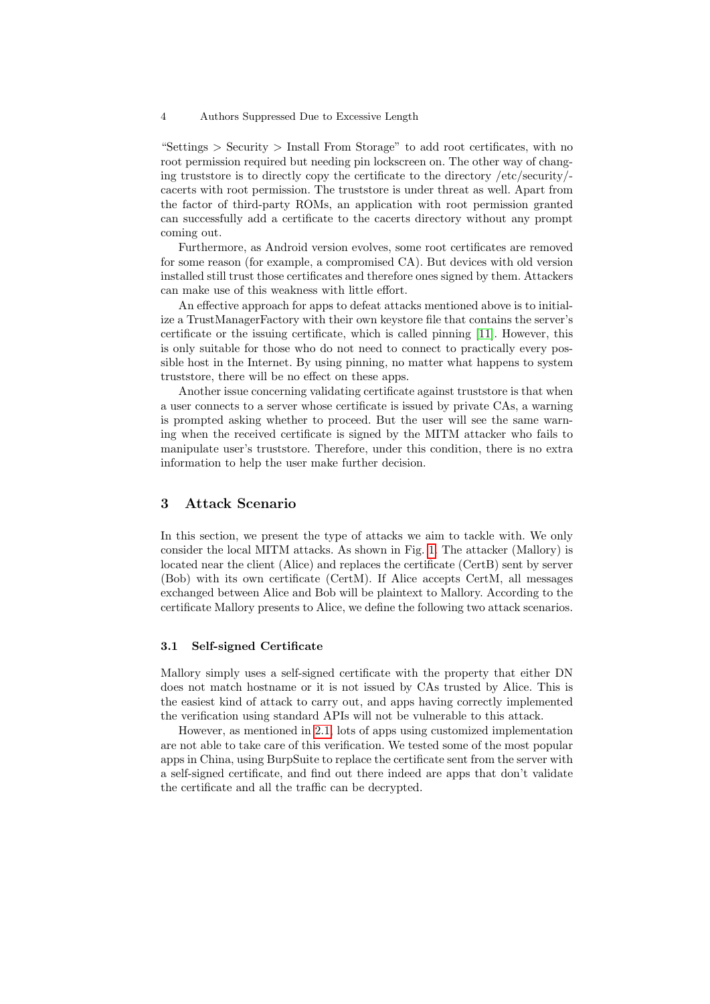"Settings > Security > Install From Storage" to add root certificates, with no root permission required but needing pin lockscreen on. The other way of changing truststore is to directly copy the certificate to the directory /etc/security/ cacerts with root permission. The truststore is under threat as well. Apart from the factor of third-party ROMs, an application with root permission granted can successfully add a certificate to the cacerts directory without any prompt coming out.

Furthermore, as Android version evolves, some root certificates are removed for some reason (for example, a compromised CA). But devices with old version installed still trust those certificates and therefore ones signed by them. Attackers can make use of this weakness with little effort.

An effective approach for apps to defeat attacks mentioned above is to initialize a TrustManagerFactory with their own keystore file that contains the server's certificate or the issuing certificate, which is called pinning [\[11\]](#page-11-5). However, this is only suitable for those who do not need to connect to practically every possible host in the Internet. By using pinning, no matter what happens to system truststore, there will be no effect on these apps.

Another issue concerning validating certificate against truststore is that when a user connects to a server whose certificate is issued by private CAs, a warning is prompted asking whether to proceed. But the user will see the same warning when the received certificate is signed by the MITM attacker who fails to manipulate user's truststore. Therefore, under this condition, there is no extra information to help the user make further decision.

# 3 Attack Scenario

In this section, we present the type of attacks we aim to tackle with. We only consider the local MITM attacks. As shown in Fig. [1.](#page-4-0) The attacker (Mallory) is located near the client (Alice) and replaces the certificate (CertB) sent by server (Bob) with its own certificate (CertM). If Alice accepts CertM, all messages exchanged between Alice and Bob will be plaintext to Mallory. According to the certificate Mallory presents to Alice, we define the following two attack scenarios.

## 3.1 Self-signed Certificate

Mallory simply uses a self-signed certificate with the property that either DN does not match hostname or it is not issued by CAs trusted by Alice. This is the easiest kind of attack to carry out, and apps having correctly implemented the verification using standard APIs will not be vulnerable to this attack.

However, as mentioned in [2.1,](#page-2-0) lots of apps using customized implementation are not able to take care of this verification. We tested some of the most popular apps in China, using BurpSuite to replace the certificate sent from the server with a self-signed certificate, and find out there indeed are apps that don't validate the certificate and all the traffic can be decrypted.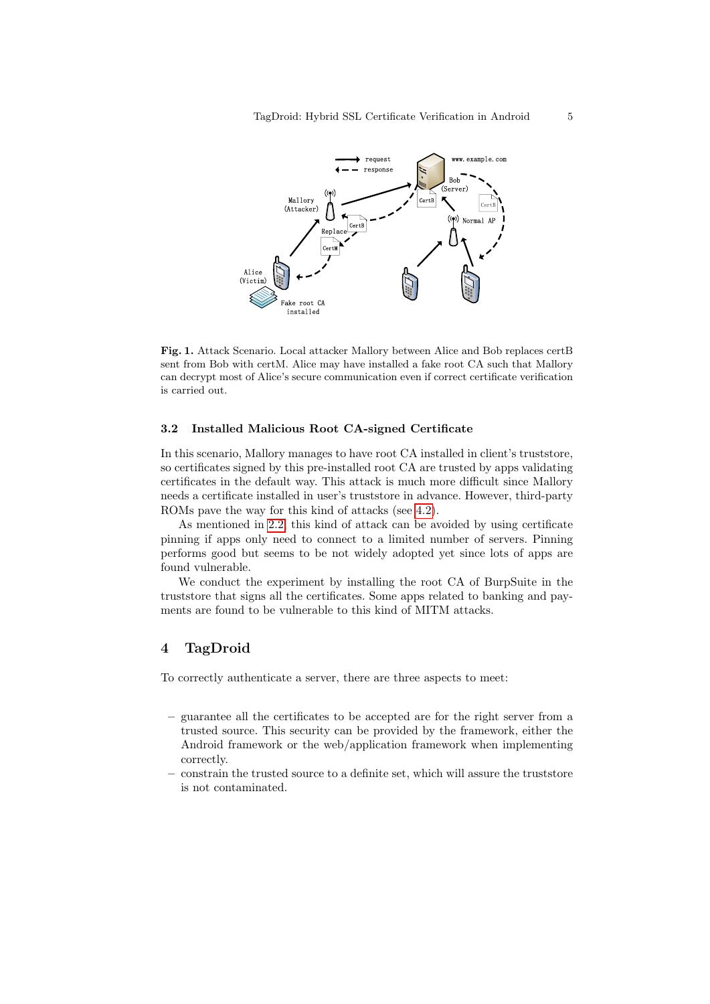

<span id="page-4-0"></span>Fig. 1. Attack Scenario. Local attacker Mallory between Alice and Bob replaces certB sent from Bob with certM. Alice may have installed a fake root CA such that Mallory can decrypt most of Alice's secure communication even if correct certificate verification is carried out.

## 3.2 Installed Malicious Root CA-signed Certificate

In this scenario, Mallory manages to have root CA installed in client's truststore, so certificates signed by this pre-installed root CA are trusted by apps validating certificates in the default way. This attack is much more difficult since Mallory needs a certificate installed in user's truststore in advance. However, third-party ROMs pave the way for this kind of attacks (see [4.2\)](#page-6-0).

As mentioned in [2.2,](#page-2-1) this kind of attack can be avoided by using certificate pinning if apps only need to connect to a limited number of servers. Pinning performs good but seems to be not widely adopted yet since lots of apps are found vulnerable.

We conduct the experiment by installing the root CA of BurpSuite in the truststore that signs all the certificates. Some apps related to banking and payments are found to be vulnerable to this kind of MITM attacks.

# 4 TagDroid

To correctly authenticate a server, there are three aspects to meet:

- guarantee all the certificates to be accepted are for the right server from a trusted source. This security can be provided by the framework, either the Android framework or the web/application framework when implementing correctly.
- constrain the trusted source to a definite set, which will assure the truststore is not contaminated.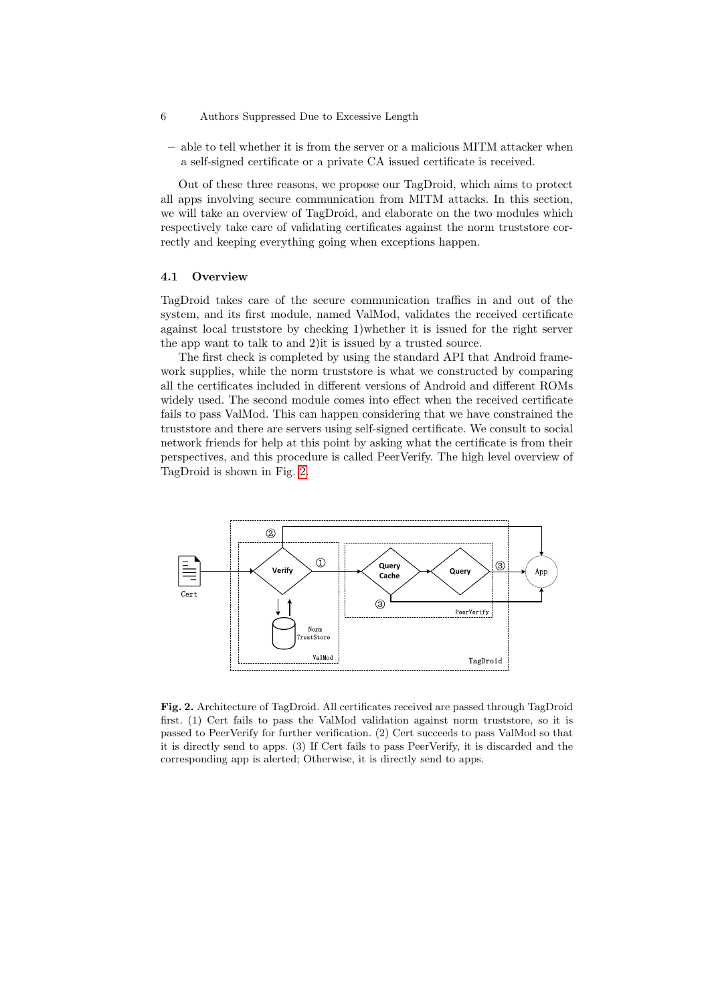- 6 Authors Suppressed Due to Excessive Length
- able to tell whether it is from the server or a malicious MITM attacker when a self-signed certificate or a private CA issued certificate is received.

Out of these three reasons, we propose our TagDroid, which aims to protect all apps involving secure communication from MITM attacks. In this section, we will take an overview of TagDroid, and elaborate on the two modules which respectively take care of validating certificates against the norm truststore correctly and keeping everything going when exceptions happen.

#### 4.1 Overview

TagDroid takes care of the secure communication traffics in and out of the system, and its first module, named ValMod, validates the received certificate against local truststore by checking 1)whether it is issued for the right server the app want to talk to and 2)it is issued by a trusted source.

The first check is completed by using the standard API that Android framework supplies, while the norm truststore is what we constructed by comparing all the certificates included in different versions of Android and different ROMs widely used. The second module comes into effect when the received certificate fails to pass ValMod. This can happen considering that we have constrained the truststore and there are servers using self-signed certificate. We consult to social network friends for help at this point by asking what the certificate is from their perspectives, and this procedure is called PeerVerify. The high level overview of TagDroid is shown in Fig. [2.](#page-5-0)



<span id="page-5-0"></span>Fig. 2. Architecture of TagDroid. All certificates received are passed through TagDroid first. (1) Cert fails to pass the ValMod validation against norm truststore, so it is passed to PeerVerify for further verification. (2) Cert succeeds to pass ValMod so that it is directly send to apps. (3) If Cert fails to pass PeerVerify, it is discarded and the corresponding app is alerted; Otherwise, it is directly send to apps.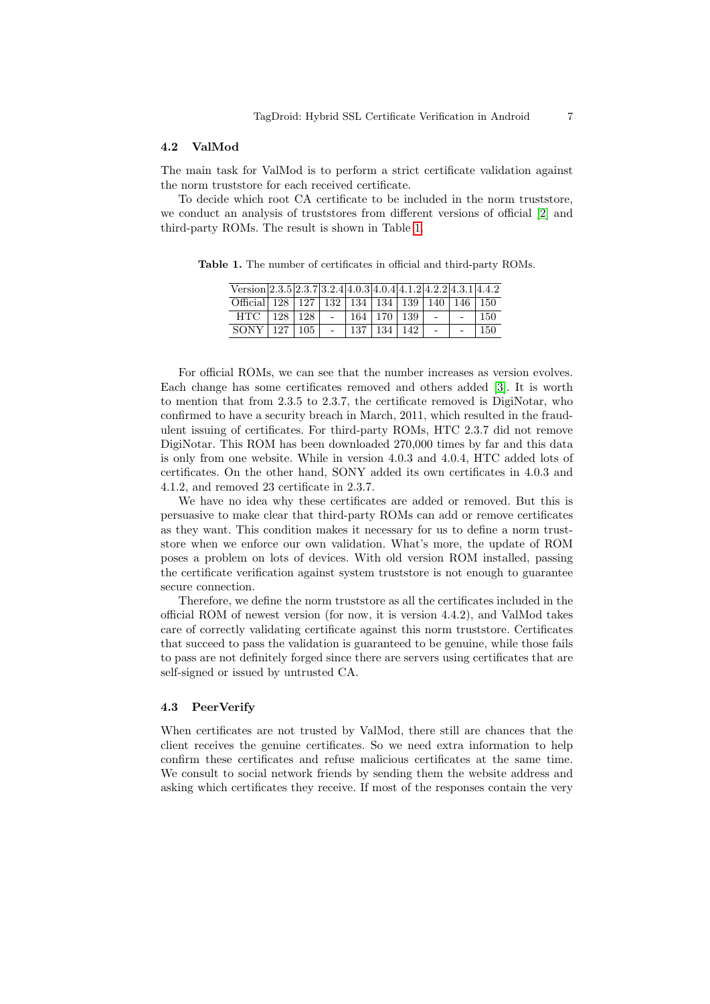#### <span id="page-6-0"></span>4.2 ValMod

The main task for ValMod is to perform a strict certificate validation against the norm truststore for each received certificate.

To decide which root CA certificate to be included in the norm truststore, we conduct an analysis of truststores from different versions of official [\[2\]](#page-11-6) and third-party ROMs. The result is shown in Table [1.](#page-6-1)

<span id="page-6-1"></span>

| Version $ 2.3.5 2.3.7 3.2.4 4.0.3 4.0.4 4.1.2 4.2.2 4.3.1 4.4.2$ |     |     |     |     |     |     |
|------------------------------------------------------------------|-----|-----|-----|-----|-----|-----|
| Official 128   127   132   134   134   139                       |     |     |     |     | 140 | 150 |
| HTC                                                              | 128 | 128 | 164 | 139 |     | 150 |
| <b>SON</b>                                                       |     | 105 |     |     |     | 150 |

Table 1. The number of certificates in official and third-party ROMs.

For official ROMs, we can see that the number increases as version evolves. Each change has some certificates removed and others added [\[3\]](#page-11-7). It is worth to mention that from 2.3.5 to 2.3.7, the certificate removed is DigiNotar, who confirmed to have a security breach in March, 2011, which resulted in the fraudulent issuing of certificates. For third-party ROMs, HTC 2.3.7 did not remove DigiNotar. This ROM has been downloaded 270,000 times by far and this data is only from one website. While in version 4.0.3 and 4.0.4, HTC added lots of certificates. On the other hand, SONY added its own certificates in 4.0.3 and 4.1.2, and removed 23 certificate in 2.3.7.

We have no idea why these certificates are added or removed. But this is persuasive to make clear that third-party ROMs can add or remove certificates as they want. This condition makes it necessary for us to define a norm truststore when we enforce our own validation. What's more, the update of ROM poses a problem on lots of devices. With old version ROM installed, passing the certificate verification against system truststore is not enough to guarantee secure connection.

Therefore, we define the norm truststore as all the certificates included in the official ROM of newest version (for now, it is version 4.4.2), and ValMod takes care of correctly validating certificate against this norm truststore. Certificates that succeed to pass the validation is guaranteed to be genuine, while those fails to pass are not definitely forged since there are servers using certificates that are self-signed or issued by untrusted CA.

#### 4.3 PeerVerify

When certificates are not trusted by ValMod, there still are chances that the client receives the genuine certificates. So we need extra information to help confirm these certificates and refuse malicious certificates at the same time. We consult to social network friends by sending them the website address and asking which certificates they receive. If most of the responses contain the very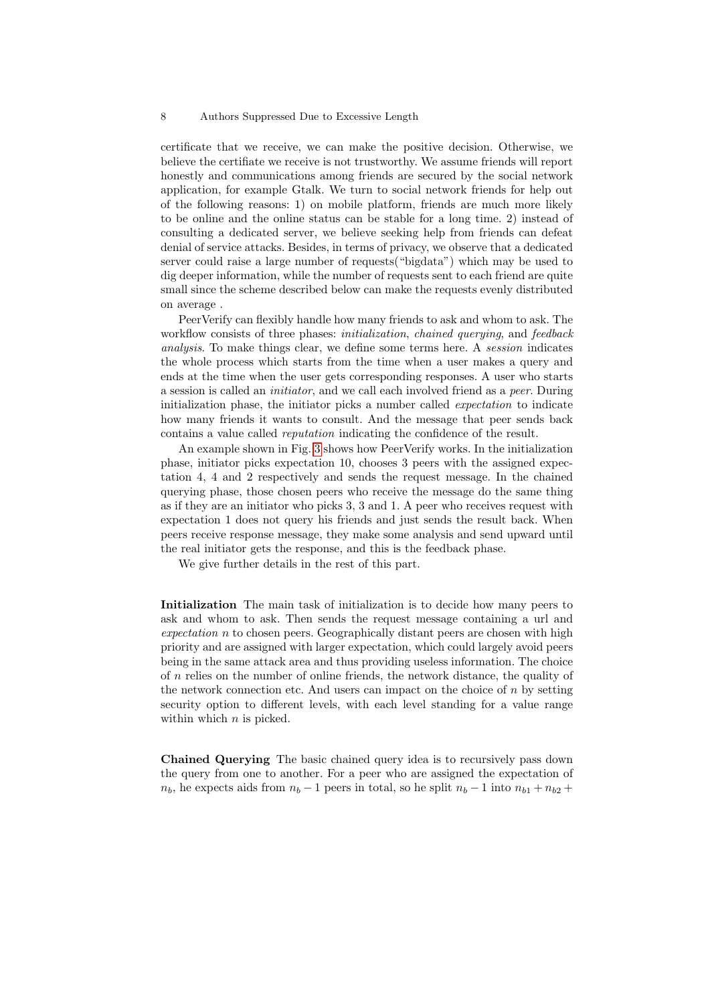certificate that we receive, we can make the positive decision. Otherwise, we believe the certifiate we receive is not trustworthy. We assume friends will report honestly and communications among friends are secured by the social network application, for example Gtalk. We turn to social network friends for help out of the following reasons: 1) on mobile platform, friends are much more likely to be online and the online status can be stable for a long time. 2) instead of consulting a dedicated server, we believe seeking help from friends can defeat denial of service attacks. Besides, in terms of privacy, we observe that a dedicated server could raise a large number of requests("bigdata") which may be used to dig deeper information, while the number of requests sent to each friend are quite small since the scheme described below can make the requests evenly distributed on average .

PeerVerify can flexibly handle how many friends to ask and whom to ask. The workflow consists of three phases: *initialization*, *chained querying*, and *feedback* analysis. To make things clear, we define some terms here. A session indicates the whole process which starts from the time when a user makes a query and ends at the time when the user gets corresponding responses. A user who starts a session is called an initiator, and we call each involved friend as a peer. During initialization phase, the initiator picks a number called expectation to indicate how many friends it wants to consult. And the message that peer sends back contains a value called reputation indicating the confidence of the result.

An example shown in Fig. [3](#page-8-0) shows how PeerVerify works. In the initialization phase, initiator picks expectation 10, chooses 3 peers with the assigned expectation 4, 4 and 2 respectively and sends the request message. In the chained querying phase, those chosen peers who receive the message do the same thing as if they are an initiator who picks 3, 3 and 1. A peer who receives request with expectation 1 does not query his friends and just sends the result back. When peers receive response message, they make some analysis and send upward until the real initiator gets the response, and this is the feedback phase.

We give further details in the rest of this part.

Initialization The main task of initialization is to decide how many peers to ask and whom to ask. Then sends the request message containing a url and expectation n to chosen peers. Geographically distant peers are chosen with high priority and are assigned with larger expectation, which could largely avoid peers being in the same attack area and thus providing useless information. The choice of  $n$  relies on the number of online friends, the network distance, the quality of the network connection etc. And users can impact on the choice of  $n$  by setting security option to different levels, with each level standing for a value range within which  $n$  is picked.

Chained Querying The basic chained query idea is to recursively pass down the query from one to another. For a peer who are assigned the expectation of  $n_b$ , he expects aids from  $n_b - 1$  peers in total, so he split  $n_b - 1$  into  $n_{b1} + n_{b2} +$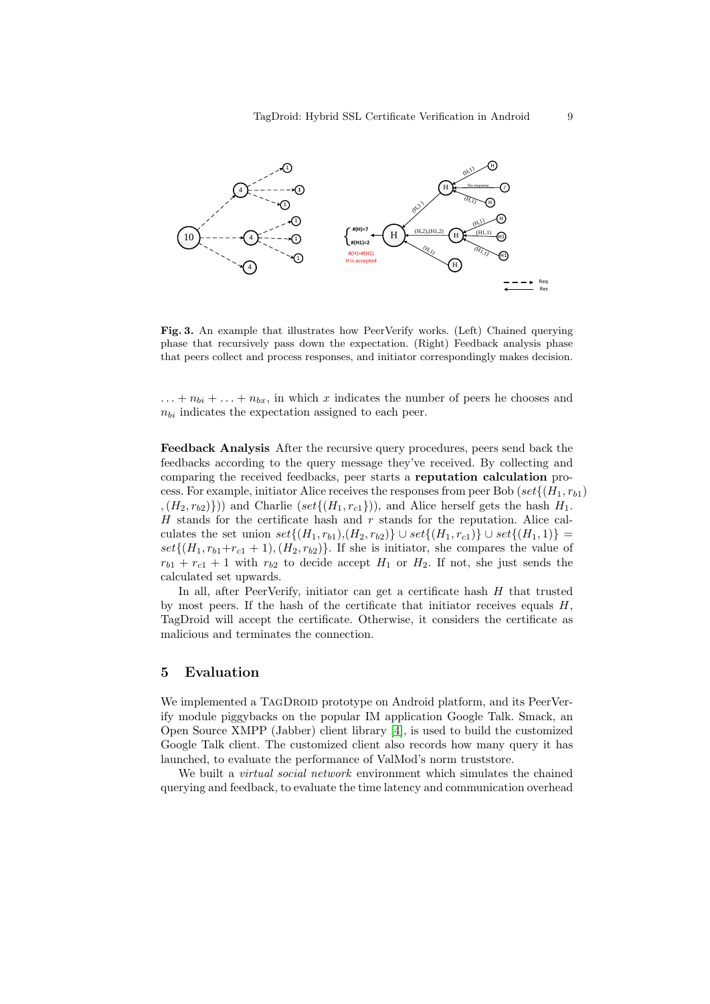

<span id="page-8-0"></span>Fig. 3. An example that illustrates how PeerVerify works. (Left) Chained querying phase that recursively pass down the expectation. (Right) Feedback analysis phase that peers collect and process responses, and initiator correspondingly makes decision.

 $\dots + n_{bi} + \dots + n_{bx}$ , in which x indicates the number of peers he chooses and  $n_{bi}$  indicates the expectation assigned to each peer.

Feedback Analysis After the recursive query procedures, peers send back the feedbacks according to the query message they've received. By collecting and comparing the received feedbacks, peer starts a reputation calculation process. For example, initiator Alice receives the responses from peer Bob (set  $\{(H_1, r_{b1})\}$  $,(H_2, r_{b2})\})$  and Charlie (set $\{(H_1, r_{c1}\})$ ), and Alice herself gets the hash  $H_1$ .  $H$  stands for the certificate hash and  $r$  stands for the reputation. Alice calculates the set union  $set\{(H_1, r_{b1}), (H_2, r_{b2})\} \cup set\{(H_1, r_{c1})\} \cup set\{(H_1, 1)\}$  $set\{(H_1, r_{b1}+r_{c1}+1), (H_2, r_{b2})\}.$  If she is initiator, she compares the value of  $r_{b1} + r_{c1} + 1$  with  $r_{b2}$  to decide accept  $H_1$  or  $H_2$ . If not, she just sends the calculated set upwards.

In all, after PeerVerify, initiator can get a certificate hash  $H$  that trusted by most peers. If the hash of the certificate that initiator receives equals  $H$ , TagDroid will accept the certificate. Otherwise, it considers the certificate as malicious and terminates the connection.

## 5 Evaluation

We implemented a TAGDROID prototype on Android platform, and its PeerVerify module piggybacks on the popular IM application Google Talk. Smack, an Open Source XMPP (Jabber) client library [\[4\]](#page-11-8), is used to build the customized Google Talk client. The customized client also records how many query it has launched, to evaluate the performance of ValMod's norm truststore.

We built a *virtual social network* environment which simulates the chained querying and feedback, to evaluate the time latency and communication overhead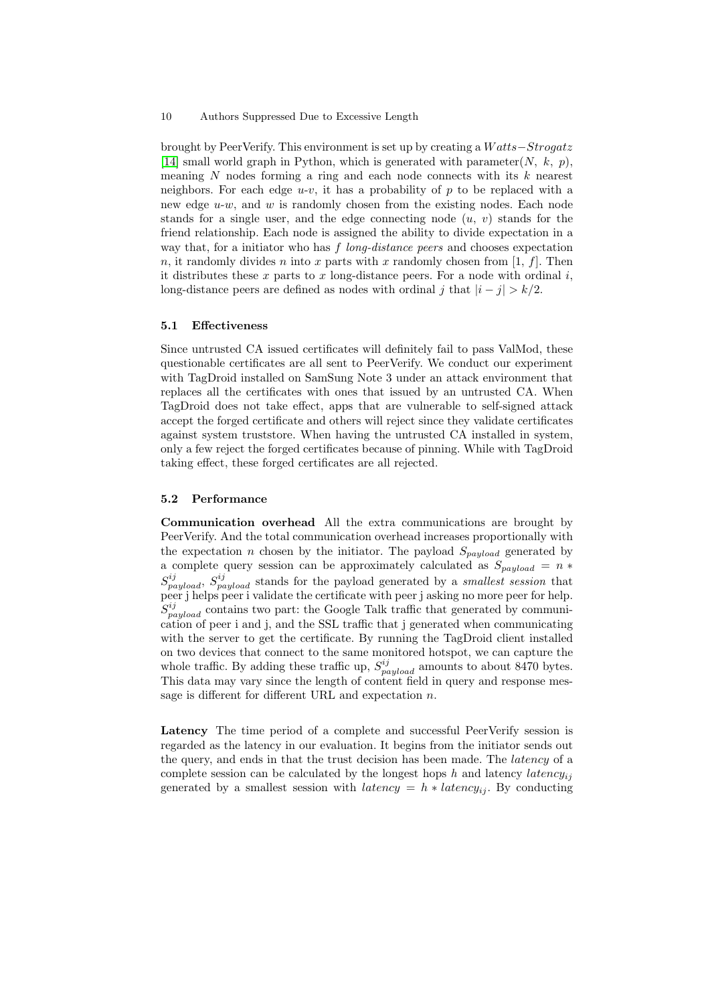brought by PeerVerify. This environment is set up by creating a W atts−Strogatz [\[14\]](#page-11-9) small world graph in Python, which is generated with parameter(N, k, p), meaning  $N$  nodes forming a ring and each node connects with its  $k$  nearest neighbors. For each edge  $u-v$ , it has a probability of p to be replaced with a new edge  $u-w$ , and w is randomly chosen from the existing nodes. Each node stands for a single user, and the edge connecting node  $(u, v)$  stands for the friend relationship. Each node is assigned the ability to divide expectation in a way that, for a initiator who has  $f_{long-distance}$  peers and chooses expectation n, it randomly divides n into x parts with x randomly chosen from [1, f]. Then it distributes these  $x$  parts to  $x$  long-distance peers. For a node with ordinal  $i$ , long-distance peers are defined as nodes with ordinal j that  $|i - j| > k/2$ .

### 5.1 Effectiveness

Since untrusted CA issued certificates will definitely fail to pass ValMod, these questionable certificates are all sent to PeerVerify. We conduct our experiment with TagDroid installed on SamSung Note 3 under an attack environment that replaces all the certificates with ones that issued by an untrusted CA. When TagDroid does not take effect, apps that are vulnerable to self-signed attack accept the forged certificate and others will reject since they validate certificates against system truststore. When having the untrusted CA installed in system, only a few reject the forged certificates because of pinning. While with TagDroid taking effect, these forged certificates are all rejected.

## 5.2 Performance

Communication overhead All the extra communications are brought by PeerVerify. And the total communication overhead increases proportionally with the expectation *n* chosen by the initiator. The payload  $S_{payload}$  generated by a complete query session can be approximately calculated as  $S_{payload} = n *$  $S_{payload}^{ij}$ ,  $S_{payload}^{ij}$  stands for the payload generated by a *smallest session* that peer j helps peer i validate the certificate with peer j asking no more peer for help.  $S_{payload}^{ij}$  contains two part: the Google Talk traffic that generated by communication of peer i and j, and the SSL traffic that j generated when communicating with the server to get the certificate. By running the TagDroid client installed on two devices that connect to the same monitored hotspot, we can capture the whole traffic. By adding these traffic up,  $S_{payload}^{ij}$  amounts to about 8470 bytes. This data may vary since the length of content field in query and response message is different for different URL and expectation  $n$ .

Latency The time period of a complete and successful PeerVerify session is regarded as the latency in our evaluation. It begins from the initiator sends out the query, and ends in that the trust decision has been made. The latency of a complete session can be calculated by the longest hops h and latency  $latency_{ij}$ generated by a smallest session with *latency* =  $h * latency_{ij}$ . By conducting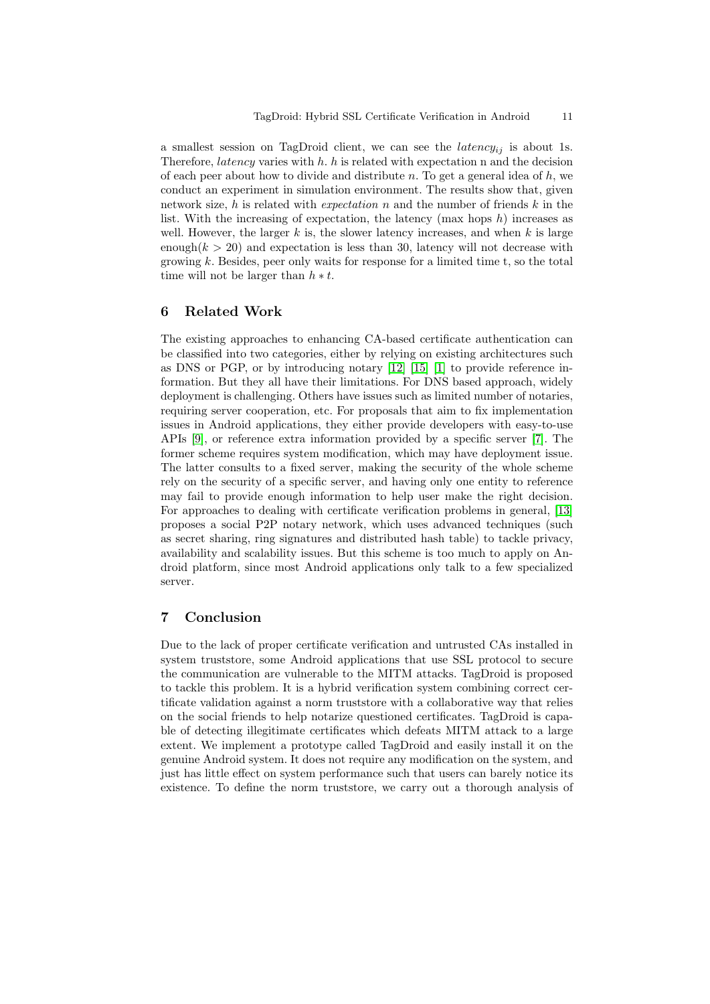a smallest session on TagDroid client, we can see the  $latency_{ij}$  is about 1s. Therefore, *latency* varies with  $h$ .  $h$  is related with expectation n and the decision of each peer about how to divide and distribute  $n$ . To get a general idea of  $h$ , we conduct an experiment in simulation environment. The results show that, given network size, h is related with *expectation* n and the number of friends  $k$  in the list. With the increasing of expectation, the latency  $(\text{max}$  hops h) increases as well. However, the larger k is, the slower latency increases, and when  $k$  is large enough $(k > 20)$  and expectation is less than 30, latency will not decrease with growing  $k$ . Besides, peer only waits for response for a limited time  $t$ , so the total time will not be larger than  $h * t$ .

## <span id="page-10-0"></span>6 Related Work

The existing approaches to enhancing CA-based certificate authentication can be classified into two categories, either by relying on existing architectures such as DNS or PGP, or by introducing notary [\[12\]](#page-11-10) [\[15\]](#page-11-11) [\[1\]](#page-11-12) to provide reference information. But they all have their limitations. For DNS based approach, widely deployment is challenging. Others have issues such as limited number of notaries, requiring server cooperation, etc. For proposals that aim to fix implementation issues in Android applications, they either provide developers with easy-to-use APIs [\[9\]](#page-11-0), or reference extra information provided by a specific server [\[7\]](#page-11-13). The former scheme requires system modification, which may have deployment issue. The latter consults to a fixed server, making the security of the whole scheme rely on the security of a specific server, and having only one entity to reference may fail to provide enough information to help user make the right decision. For approaches to dealing with certificate verification problems in general, [\[13\]](#page-11-14) proposes a social P2P notary network, which uses advanced techniques (such as secret sharing, ring signatures and distributed hash table) to tackle privacy, availability and scalability issues. But this scheme is too much to apply on Android platform, since most Android applications only talk to a few specialized server.

## 7 Conclusion

Due to the lack of proper certificate verification and untrusted CAs installed in system truststore, some Android applications that use SSL protocol to secure the communication are vulnerable to the MITM attacks. TagDroid is proposed to tackle this problem. It is a hybrid verification system combining correct certificate validation against a norm truststore with a collaborative way that relies on the social friends to help notarize questioned certificates. TagDroid is capable of detecting illegitimate certificates which defeats MITM attack to a large extent. We implement a prototype called TagDroid and easily install it on the genuine Android system. It does not require any modification on the system, and just has little effect on system performance such that users can barely notice its existence. To define the norm truststore, we carry out a thorough analysis of